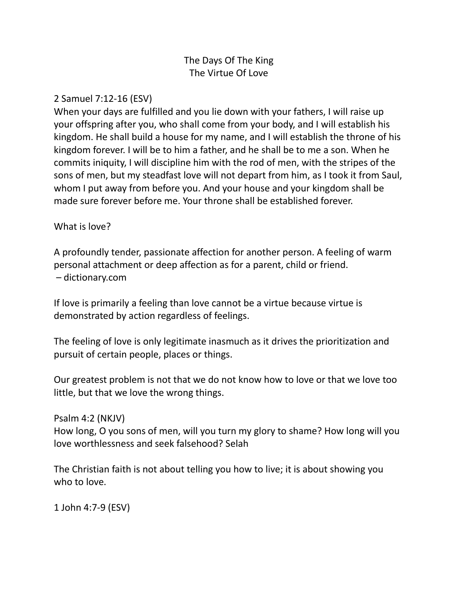## The Days Of The King The Virtue Of Love

## 2 Samuel 7:12-16 (ESV)

When your days are fulfilled and you lie down with your fathers, I will raise up your offspring after you, who shall come from your body, and I will establish his kingdom. He shall build a house for my name, and I will establish the throne of his kingdom forever. I will be to him a father, and he shall be to me a son. When he commits iniquity, I will discipline him with the rod of men, with the stripes of the sons of men, but my steadfast love will not depart from him, as I took it from Saul, whom I put away from before you. And your house and your kingdom shall be made sure forever before me. Your throne shall be established forever.

## What is love?

A profoundly tender, passionate affection for another person. A feeling of warm personal attachment or deep affection as for a parent, child or friend. – dictionary.com

If love is primarily a feeling than love cannot be a virtue because virtue is demonstrated by action regardless of feelings.

The feeling of love is only legitimate inasmuch as it drives the prioritization and pursuit of certain people, places or things.

Our greatest problem is not that we do not know how to love or that we love too little, but that we love the wrong things.

Psalm 4:2 (NKJV)

How long, O you sons of men, will you turn my glory to shame? How long will you love worthlessness and seek falsehood? Selah

The Christian faith is not about telling you how to live; it is about showing you who to love.

1 John 4:7-9 (ESV)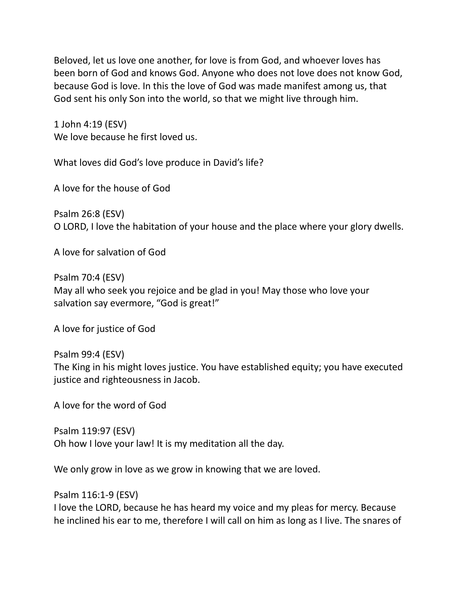Beloved, let us love one another, for love is from God, and whoever loves has been born of God and knows God. Anyone who does not love does not know God, because God is love. In this the love of God was made manifest among us, that God sent his only Son into the world, so that we might live through him.

1 John 4:19 (ESV) We love because he first loved us.

What loves did God's love produce in David's life?

A love for the house of God

Psalm 26:8 (ESV) O LORD, I love the habitation of your house and the place where your glory dwells.

A love for salvation of God

Psalm 70:4 (ESV) May all who seek you rejoice and be glad in you! May those who love your salvation say evermore, "God is great!"

A love for justice of God

Psalm 99:4 (ESV) The King in his might loves justice. You have established equity; you have executed justice and righteousness in Jacob.

A love for the word of God

Psalm 119:97 (ESV) Oh how I love your law! It is my meditation all the day.

We only grow in love as we grow in knowing that we are loved.

Psalm 116:1-9 (ESV)

I love the LORD, because he has heard my voice and my pleas for mercy. Because he inclined his ear to me, therefore I will call on him as long as I live. The snares of